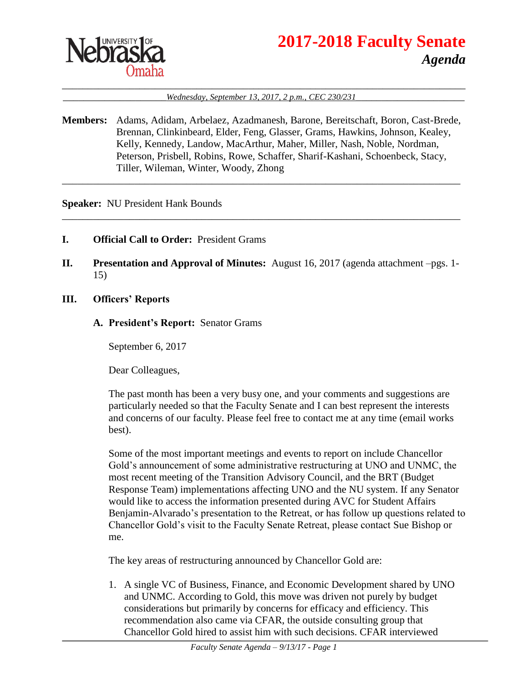

# **2017-2018 Faculty Senate** *Agenda*

### \_\_\_\_\_\_\_\_\_\_\_\_\_\_\_\_\_\_\_\_\_\_\_\_\_\_\_\_\_\_\_\_\_\_\_\_\_\_\_\_\_\_\_\_\_\_\_\_\_\_\_\_\_\_\_\_\_\_\_\_\_\_\_\_\_\_\_\_\_\_\_\_\_\_\_\_\_\_ \_\_\_\_\_\_\_\_\_\_\_\_\_\_\_\_\_\_\_\_*Wednesday, September 13, 2017, 2 p.m., CEC 230/231*\_\_\_\_\_\_\_\_\_\_\_\_\_\_\_\_\_\_\_\_\_

**Members:** Adams, Adidam, Arbelaez, Azadmanesh, Barone, Bereitschaft, Boron, Cast-Brede, Brennan, Clinkinbeard, Elder, Feng, Glasser, Grams, Hawkins, Johnson, Kealey, Kelly, Kennedy, Landow, MacArthur, Maher, Miller, Nash, Noble, Nordman, Peterson, Prisbell, Robins, Rowe, Schaffer, Sharif-Kashani, Schoenbeck, Stacy, Tiller, Wileman, Winter, Woody, Zhong

\_\_\_\_\_\_\_\_\_\_\_\_\_\_\_\_\_\_\_\_\_\_\_\_\_\_\_\_\_\_\_\_\_\_\_\_\_\_\_\_\_\_\_\_\_\_\_\_\_\_\_\_\_\_\_\_\_\_\_\_\_\_\_\_\_\_\_\_\_\_\_\_\_\_\_\_\_

\_\_\_\_\_\_\_\_\_\_\_\_\_\_\_\_\_\_\_\_\_\_\_\_\_\_\_\_\_\_\_\_\_\_\_\_\_\_\_\_\_\_\_\_\_\_\_\_\_\_\_\_\_\_\_\_\_\_\_\_\_\_\_\_\_\_\_\_\_\_\_\_\_\_\_\_\_

**Speaker:** NU President Hank Bounds

- **I. Official Call to Order:** President Grams
- **II. Presentation and Approval of Minutes:** August 16, 2017 (agenda attachment –pgs. 1- 15)
- **III. Officers' Reports**
	- **A. President's Report:** Senator Grams

September 6, 2017

Dear Colleagues,

The past month has been a very busy one, and your comments and suggestions are particularly needed so that the Faculty Senate and I can best represent the interests and concerns of our faculty. Please feel free to contact me at any time (email works best).

Some of the most important meetings and events to report on include Chancellor Gold's announcement of some administrative restructuring at UNO and UNMC, the most recent meeting of the Transition Advisory Council, and the BRT (Budget Response Team) implementations affecting UNO and the NU system. If any Senator would like to access the information presented during AVC for Student Affairs Benjamin-Alvarado's presentation to the Retreat, or has follow up questions related to Chancellor Gold's visit to the Faculty Senate Retreat, please contact Sue Bishop or me.

The key areas of restructuring announced by Chancellor Gold are:

1. A single VC of Business, Finance, and Economic Development shared by UNO and UNMC. According to Gold, this move was driven not purely by budget considerations but primarily by concerns for efficacy and efficiency. This recommendation also came via CFAR, the outside consulting group that Chancellor Gold hired to assist him with such decisions. CFAR interviewed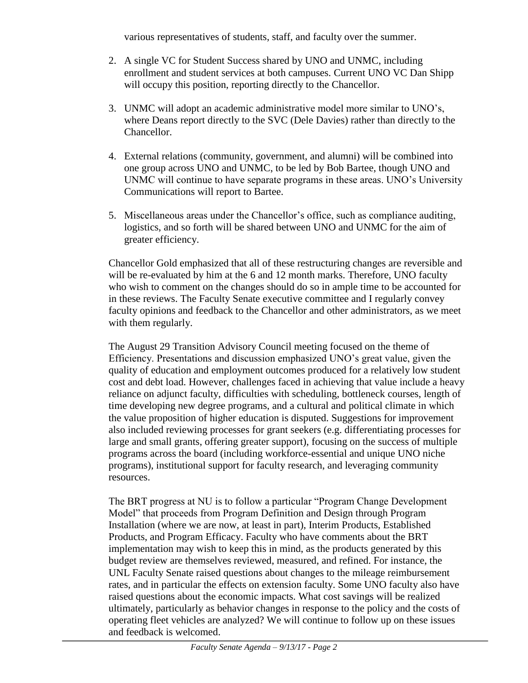various representatives of students, staff, and faculty over the summer.

- 2. A single VC for Student Success shared by UNO and UNMC, including enrollment and student services at both campuses. Current UNO VC Dan Shipp will occupy this position, reporting directly to the Chancellor.
- 3. UNMC will adopt an academic administrative model more similar to UNO's, where Deans report directly to the SVC (Dele Davies) rather than directly to the Chancellor.
- 4. External relations (community, government, and alumni) will be combined into one group across UNO and UNMC, to be led by Bob Bartee, though UNO and UNMC will continue to have separate programs in these areas. UNO's University Communications will report to Bartee.
- 5. Miscellaneous areas under the Chancellor's office, such as compliance auditing, logistics, and so forth will be shared between UNO and UNMC for the aim of greater efficiency.

Chancellor Gold emphasized that all of these restructuring changes are reversible and will be re-evaluated by him at the 6 and 12 month marks. Therefore, UNO faculty who wish to comment on the changes should do so in ample time to be accounted for in these reviews. The Faculty Senate executive committee and I regularly convey faculty opinions and feedback to the Chancellor and other administrators, as we meet with them regularly.

The August 29 Transition Advisory Council meeting focused on the theme of Efficiency. Presentations and discussion emphasized UNO's great value, given the quality of education and employment outcomes produced for a relatively low student cost and debt load. However, challenges faced in achieving that value include a heavy reliance on adjunct faculty, difficulties with scheduling, bottleneck courses, length of time developing new degree programs, and a cultural and political climate in which the value proposition of higher education is disputed. Suggestions for improvement also included reviewing processes for grant seekers (e.g. differentiating processes for large and small grants, offering greater support), focusing on the success of multiple programs across the board (including workforce-essential and unique UNO niche programs), institutional support for faculty research, and leveraging community resources.

The BRT progress at NU is to follow a particular "Program Change Development Model" that proceeds from Program Definition and Design through Program Installation (where we are now, at least in part), Interim Products, Established Products, and Program Efficacy. Faculty who have comments about the BRT implementation may wish to keep this in mind, as the products generated by this budget review are themselves reviewed, measured, and refined. For instance, the UNL Faculty Senate raised questions about changes to the mileage reimbursement rates, and in particular the effects on extension faculty. Some UNO faculty also have raised questions about the economic impacts. What cost savings will be realized ultimately, particularly as behavior changes in response to the policy and the costs of operating fleet vehicles are analyzed? We will continue to follow up on these issues and feedback is welcomed.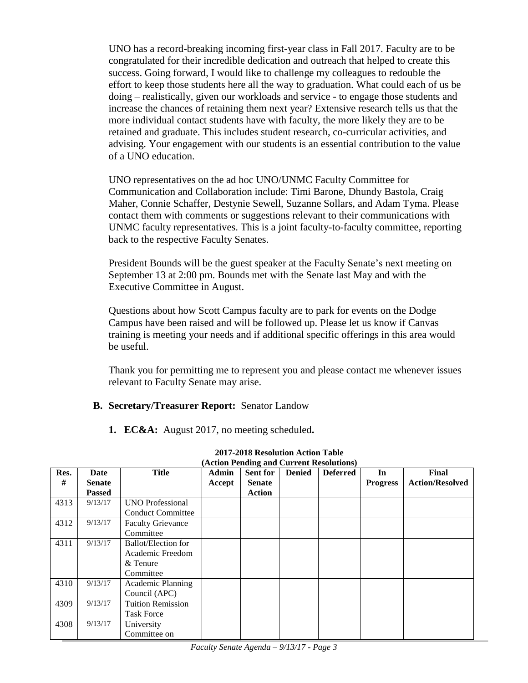UNO has a record-breaking incoming first-year class in Fall 2017. Faculty are to be congratulated for their incredible dedication and outreach that helped to create this success. Going forward, I would like to challenge my colleagues to redouble the effort to keep those students here all the way to graduation. What could each of us be doing – realistically, given our workloads and service - to engage those students and increase the chances of retaining them next year? Extensive research tells us that the more individual contact students have with faculty, the more likely they are to be retained and graduate. This includes student research, co-curricular activities, and advising. Your engagement with our students is an essential contribution to the value of a UNO education.

UNO representatives on the ad hoc UNO/UNMC Faculty Committee for Communication and Collaboration include: Timi Barone, Dhundy Bastola, Craig Maher, Connie Schaffer, Destynie Sewell, Suzanne Sollars, and Adam Tyma. Please contact them with comments or suggestions relevant to their communications with UNMC faculty representatives. This is a joint faculty-to-faculty committee, reporting back to the respective Faculty Senates.

President Bounds will be the guest speaker at the Faculty Senate's next meeting on September 13 at 2:00 pm. Bounds met with the Senate last May and with the Executive Committee in August.

Questions about how Scott Campus faculty are to park for events on the Dodge Campus have been raised and will be followed up. Please let us know if Canvas training is meeting your needs and if additional specific offerings in this area would be useful.

Thank you for permitting me to represent you and please contact me whenever issues relevant to Faculty Senate may arise.

# **B. Secretary/Treasurer Report:** Senator Landow

**1. EC&A:** August 2017, no meeting scheduled**.**

| Res. | Date          | <b>Title</b>             | <b>Admin</b> | <b>Sent for</b> | <b>Denied</b> | <b>Deferred</b> | In              | <b>Final</b>           |
|------|---------------|--------------------------|--------------|-----------------|---------------|-----------------|-----------------|------------------------|
| #    | <b>Senate</b> |                          | Accept       | <b>Senate</b>   |               |                 | <b>Progress</b> | <b>Action/Resolved</b> |
|      | <b>Passed</b> |                          |              | Action          |               |                 |                 |                        |
| 4313 | 9/13/17       | <b>UNO Professional</b>  |              |                 |               |                 |                 |                        |
|      |               | <b>Conduct Committee</b> |              |                 |               |                 |                 |                        |
| 4312 | 9/13/17       | <b>Faculty Grievance</b> |              |                 |               |                 |                 |                        |
|      |               | Committee                |              |                 |               |                 |                 |                        |
| 4311 | 9/13/17       | Ballot/Election for      |              |                 |               |                 |                 |                        |
|      |               | Academic Freedom         |              |                 |               |                 |                 |                        |
|      |               | & Tenure                 |              |                 |               |                 |                 |                        |
|      |               | Committee                |              |                 |               |                 |                 |                        |
| 4310 | 9/13/17       | Academic Planning        |              |                 |               |                 |                 |                        |
|      |               | Council (APC)            |              |                 |               |                 |                 |                        |
| 4309 | 9/13/17       | <b>Tuition Remission</b> |              |                 |               |                 |                 |                        |
|      |               | <b>Task Force</b>        |              |                 |               |                 |                 |                        |
| 4308 | 9/13/17       | University               |              |                 |               |                 |                 |                        |
|      |               | Committee on             |              |                 |               |                 |                 |                        |

#### **2017-2018 Resolution Action Table**

|  |  |  |  | (Action Pending and Current Resolutions) |  |
|--|--|--|--|------------------------------------------|--|
|--|--|--|--|------------------------------------------|--|

*Faculty Senate Agenda – 9/13/17 - Page 3*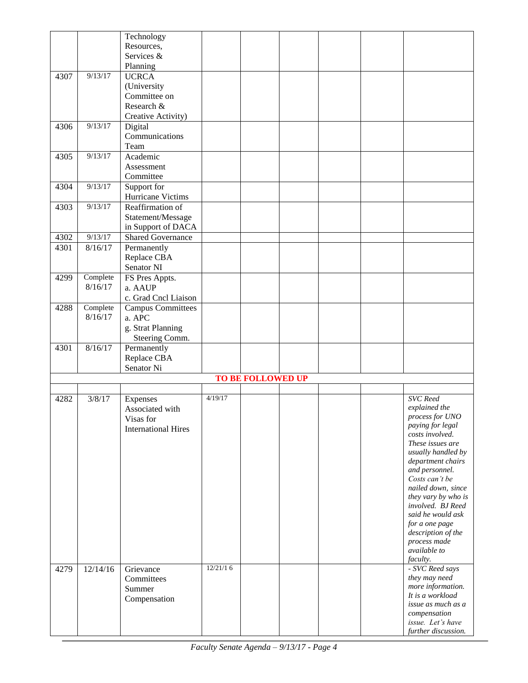|      |          | Technology                 |          |                          |  |                                        |
|------|----------|----------------------------|----------|--------------------------|--|----------------------------------------|
|      |          | Resources,                 |          |                          |  |                                        |
|      |          | Services &                 |          |                          |  |                                        |
|      |          | Planning                   |          |                          |  |                                        |
| 4307 | 9/13/17  | <b>UCRCA</b>               |          |                          |  |                                        |
|      |          | (University                |          |                          |  |                                        |
|      |          | Committee on               |          |                          |  |                                        |
|      |          | Research &                 |          |                          |  |                                        |
|      |          | Creative Activity)         |          |                          |  |                                        |
| 4306 | 9/13/17  | Digital                    |          |                          |  |                                        |
|      |          | Communications             |          |                          |  |                                        |
|      |          | Team                       |          |                          |  |                                        |
| 4305 | 9/13/17  | Academic                   |          |                          |  |                                        |
|      |          | Assessment                 |          |                          |  |                                        |
|      |          |                            |          |                          |  |                                        |
|      | 9/13/17  | Committee                  |          |                          |  |                                        |
| 4304 |          | Support for                |          |                          |  |                                        |
|      |          | Hurricane Victims          |          |                          |  |                                        |
| 4303 | 9/13/17  | Reaffirmation of           |          |                          |  |                                        |
|      |          | Statement/Message          |          |                          |  |                                        |
|      |          | in Support of DACA         |          |                          |  |                                        |
| 4302 | 9/13/17  | <b>Shared Governance</b>   |          |                          |  |                                        |
| 4301 | 8/16/17  | Permanently                |          |                          |  |                                        |
|      |          | Replace CBA                |          |                          |  |                                        |
|      |          | Senator NI                 |          |                          |  |                                        |
| 4299 | Complete | FS Pres Appts.             |          |                          |  |                                        |
|      | 8/16/17  | a. AAUP                    |          |                          |  |                                        |
|      |          | c. Grad Cncl Liaison       |          |                          |  |                                        |
| 4288 | Complete | <b>Campus Committees</b>   |          |                          |  |                                        |
|      | 8/16/17  | a. APC                     |          |                          |  |                                        |
|      |          | g. Strat Planning          |          |                          |  |                                        |
|      |          | Steering Comm.             |          |                          |  |                                        |
| 4301 | 8/16/17  | Permanently                |          |                          |  |                                        |
|      |          | Replace CBA                |          |                          |  |                                        |
|      |          | Senator Ni                 |          |                          |  |                                        |
|      |          |                            |          | <b>TO BE FOLLOWED UP</b> |  |                                        |
|      |          |                            |          |                          |  |                                        |
| 4282 | 3/8/17   | Expenses                   | 4/19/17  |                          |  | <b>SVC</b> Reed                        |
|      |          | Associated with            |          |                          |  | explained the                          |
|      |          | Visas for                  |          |                          |  | process for UNO                        |
|      |          | <b>International Hires</b> |          |                          |  | paying for legal                       |
|      |          |                            |          |                          |  | costs involved.                        |
|      |          |                            |          |                          |  | These issues are                       |
|      |          |                            |          |                          |  | usually handled by                     |
|      |          |                            |          |                          |  | department chairs                      |
|      |          |                            |          |                          |  | and personnel.                         |
|      |          |                            |          |                          |  | Costs can't be                         |
|      |          |                            |          |                          |  | nailed down, since                     |
|      |          |                            |          |                          |  | they vary by who is                    |
|      |          |                            |          |                          |  | involved. BJ Reed<br>said he would ask |
|      |          |                            |          |                          |  | for a one page                         |
|      |          |                            |          |                          |  | description of the                     |
|      |          |                            |          |                          |  | process made                           |
|      |          |                            |          |                          |  | available to                           |
|      |          |                            |          |                          |  | faculty.                               |
| 4279 | 12/14/16 | Grievance                  | 12/21/16 |                          |  | - SVC Reed says                        |
|      |          | Committees                 |          |                          |  | they may need                          |
|      |          | Summer                     |          |                          |  | more information.                      |
|      |          | Compensation               |          |                          |  | It is a workload                       |
|      |          |                            |          |                          |  | issue as much as a                     |
|      |          |                            |          |                          |  | compensation                           |
|      |          |                            |          |                          |  | issue. Let's have                      |
|      |          |                            |          |                          |  | further discussion.                    |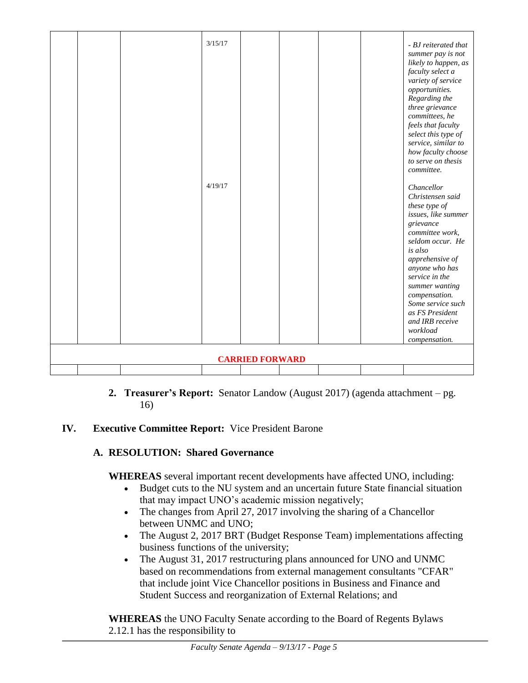|                        |  |  | 3/15/17<br>4/19/17 |  |  |  | - BJ reiterated that<br>summer pay is not<br>likely to happen, as<br>faculty select a<br>variety of service<br>opportunities.<br>Regarding the<br>three grievance<br>committees, he<br>feels that faculty<br>select this type of<br>service, similar to<br>how faculty choose<br>to serve on thesis<br>committee.<br>Chancellor<br>Christensen said<br>these type of<br>issues, like summer<br>grievance<br>committee work,<br>seldom occur. He<br>is also<br>apprehensive of<br>anyone who has<br>service in the<br>summer wanting<br>compensation.<br>Some service such<br>as FS President<br>and IRB receive<br>workload<br>compensation. |
|------------------------|--|--|--------------------|--|--|--|----------------------------------------------------------------------------------------------------------------------------------------------------------------------------------------------------------------------------------------------------------------------------------------------------------------------------------------------------------------------------------------------------------------------------------------------------------------------------------------------------------------------------------------------------------------------------------------------------------------------------------------------|
| <b>CARRIED FORWARD</b> |  |  |                    |  |  |  |                                                                                                                                                                                                                                                                                                                                                                                                                                                                                                                                                                                                                                              |
|                        |  |  |                    |  |  |  |                                                                                                                                                                                                                                                                                                                                                                                                                                                                                                                                                                                                                                              |

**2. Treasurer's Report:** Senator Landow (August 2017) (agenda attachment – pg. 16)

# **IV. Executive Committee Report:** Vice President Barone

# **A. RESOLUTION: Shared Governance**

**WHEREAS** several important recent developments have affected UNO, including:

- Budget cuts to the NU system and an uncertain future State financial situation that may impact UNO's academic mission negatively;
- The changes from April 27, 2017 involving the sharing of a Chancellor between UNMC and UNO;
- The August 2, 2017 BRT (Budget Response Team) implementations affecting business functions of the university;
- The August 31, 2017 restructuring plans announced for UNO and UNMC based on recommendations from external management consultants "CFAR" that include joint Vice Chancellor positions in Business and Finance and Student Success and reorganization of External Relations; and

**WHEREAS** the UNO Faculty Senate according to the Board of Regents Bylaws 2.12.1 has the responsibility to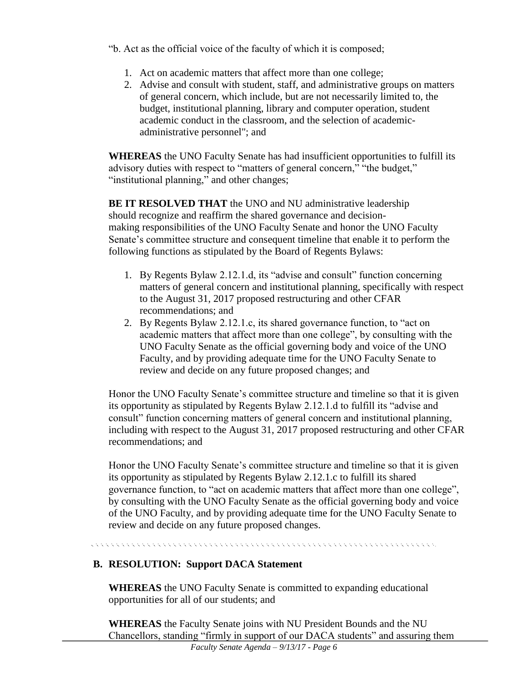"b. Act as the official voice of the faculty of which it is composed;

- 1. Act on academic matters that affect more than one college;
- 2. Advise and consult with student, staff, and administrative groups on matters of general concern, which include, but are not necessarily limited to, the budget, institutional planning, library and computer operation, student academic conduct in the classroom, and the selection of academicadministrative personnel"; and

**WHEREAS** the UNO Faculty Senate has had insufficient opportunities to fulfill its advisory duties with respect to "matters of general concern," "the budget," "institutional planning," and other changes;

**BE IT RESOLVED THAT** the UNO and NU administrative leadership should recognize and reaffirm the shared governance and decisionmaking responsibilities of the UNO Faculty Senate and honor the UNO Faculty Senate's committee structure and consequent timeline that enable it to perform the following functions as stipulated by the Board of Regents Bylaws:

- 1. By Regents Bylaw 2.12.1.d, its "advise and consult" function concerning matters of general concern and institutional planning, specifically with respect to the August 31, 2017 proposed restructuring and other CFAR recommendations; and
- 2. By Regents Bylaw 2.12.1.c, its shared governance function, to "act on academic matters that affect more than one college", by consulting with the UNO Faculty Senate as the official governing body and voice of the UNO Faculty, and by providing adequate time for the UNO Faculty Senate to review and decide on any future proposed changes; and

Honor the UNO Faculty Senate's committee structure and timeline so that it is given its opportunity as stipulated by Regents Bylaw 2.12.1.d to fulfill its "advise and consult" function concerning matters of general concern and institutional planning, including with respect to the August 31, 2017 proposed restructuring and other CFAR recommendations; and

Honor the UNO Faculty Senate's committee structure and timeline so that it is given its opportunity as stipulated by Regents Bylaw 2.12.1.c to fulfill its shared governance function, to "act on academic matters that affect more than one college", by consulting with the UNO Faculty Senate as the official governing body and voice of the UNO Faculty, and by providing adequate time for the UNO Faculty Senate to review and decide on any future proposed changes.

# 

# **B. RESOLUTION: Support DACA Statement**

**WHEREAS** the UNO Faculty Senate is committed to expanding educational opportunities for all of our students; and

**WHEREAS** the Faculty Senate joins with NU President Bounds and the NU Chancellors, standing "firmly in support of our DACA students" and assuring them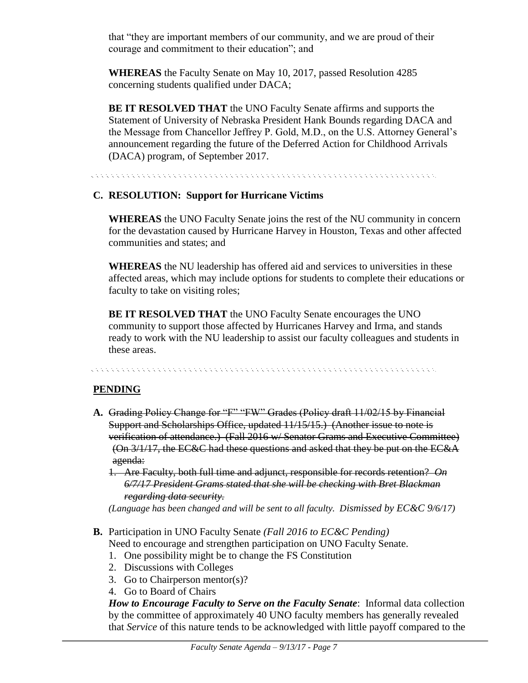that "they are important members of our community, and we are proud of their courage and commitment to their education"; and

**WHEREAS** the Faculty Senate on May 10, 2017, passed Resolution 4285 concerning students qualified under DACA;

**BE IT RESOLVED THAT** the UNO Faculty Senate affirms and supports the Statement of University of Nebraska President Hank Bounds regarding DACA and the Message from Chancellor Jeffrey P. Gold, M.D., on the U.S. Attorney General's announcement regarding the future of the Deferred Action for Childhood Arrivals (DACA) program, of September 2017.

a de la caractería de la caractería de la caractería de la caractería de la caractería de la caractería de la

# **C. RESOLUTION: Support for Hurricane Victims**

**WHEREAS** the UNO Faculty Senate joins the rest of the NU community in concern for the devastation caused by Hurricane Harvey in Houston, Texas and other affected communities and states; and

**WHEREAS** the NU leadership has offered aid and services to universities in these affected areas, which may include options for students to complete their educations or faculty to take on visiting roles;

**BE IT RESOLVED THAT** the UNO Faculty Senate encourages the UNO community to support those affected by Hurricanes Harvey and Irma, and stands ready to work with the NU leadership to assist our faculty colleagues and students in these areas.

# **PENDING**

- **A.** Grading Policy Change for "F" "FW" Grades (Policy draft 11/02/15 by Financial Support and Scholarships Office, updated 11/15/15.) (Another issue to note is verification of attendance.) (Fall 2016 w/ Senator Grams and Executive Committee) (On 3/1/17, the EC&C had these questions and asked that they be put on the EC&A agenda:
	- 1. Are Faculty, both full time and adjunct, responsible for records retention? *On 6/7/17 President Grams stated that she will be checking with Bret Blackman regarding data security.*

*(Language has been changed and will be sent to all faculty. Dismissed by EC&C 9/6/17)*

- **B.** Participation in UNO Faculty Senate *(Fall 2016 to EC&C Pending)* Need to encourage and strengthen participation on UNO Faculty Senate.
	- 1. One possibility might be to change the FS Constitution
	- 2. Discussions with Colleges
	- 3. Go to Chairperson mentor(s)?
	- 4. Go to Board of Chairs

*How to Encourage Faculty to Serve on the Faculty Senate*: Informal data collection by the committee of approximately 40 UNO faculty members has generally revealed that *Service* of this nature tends to be acknowledged with little payoff compared to the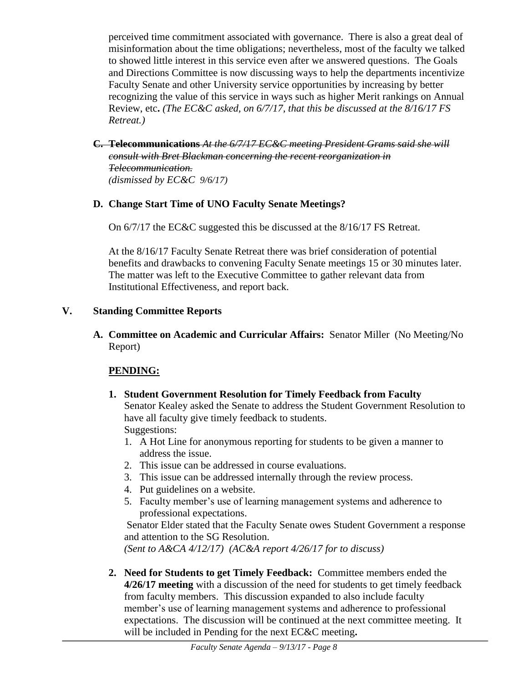perceived time commitment associated with governance. There is also a great deal of misinformation about the time obligations; nevertheless, most of the faculty we talked to showed little interest in this service even after we answered questions. The Goals and Directions Committee is now discussing ways to help the departments incentivize Faculty Senate and other University service opportunities by increasing by better recognizing the value of this service in ways such as higher Merit rankings on Annual Review, etc**.** *(The EC&C asked, on 6/7/17, that this be discussed at the 8/16/17 FS Retreat.)*

**C. Telecommunications** *At the 6/7/17 EC&C meeting President Grams said she will consult with Bret Blackman concerning the recent reorganization in Telecommunication. (dismissed by EC&C 9/6/17)*

# **D. Change Start Time of UNO Faculty Senate Meetings?**

On 6/7/17 the EC&C suggested this be discussed at the 8/16/17 FS Retreat.

At the 8/16/17 Faculty Senate Retreat there was brief consideration of potential benefits and drawbacks to convening Faculty Senate meetings 15 or 30 minutes later. The matter was left to the Executive Committee to gather relevant data from Institutional Effectiveness, and report back.

# **V. Standing Committee Reports**

**A. Committee on Academic and Curricular Affairs:** Senator Miller (No Meeting/No Report)

# **PENDING:**

- **1. Student Government Resolution for Timely Feedback from Faculty** Senator Kealey asked the Senate to address the Student Government Resolution to have all faculty give timely feedback to students. Suggestions:
	- 1. A Hot Line for anonymous reporting for students to be given a manner to address the issue.
	- 2. This issue can be addressed in course evaluations.
	- 3. This issue can be addressed internally through the review process.
	- 4. Put guidelines on a website.
	- 5. Faculty member's use of learning management systems and adherence to professional expectations.

Senator Elder stated that the Faculty Senate owes Student Government a response and attention to the SG Resolution.

*(Sent to A&CA 4/12/17) (AC&A report 4/26/17 for to discuss)*

**2. Need for Students to get Timely Feedback:** Committee members ended the **4/26/17 meeting** with a discussion of the need for students to get timely feedback from faculty members. This discussion expanded to also include faculty member's use of learning management systems and adherence to professional expectations. The discussion will be continued at the next committee meeting. It will be included in Pending for the next EC&C meeting**.**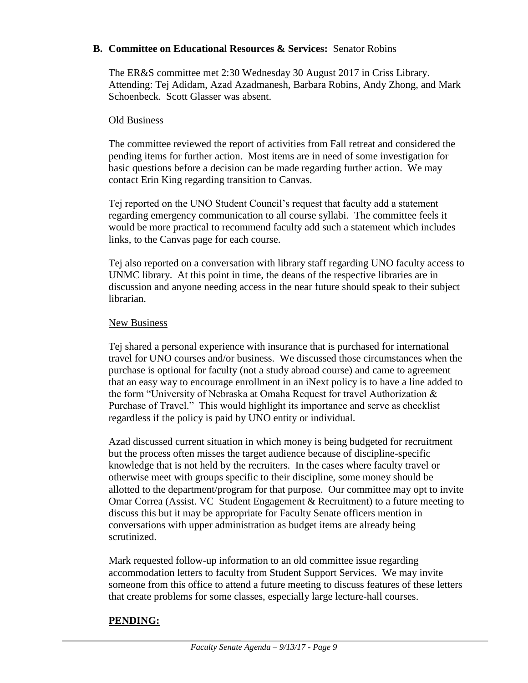### **B. Committee on Educational Resources & Services:** Senator Robins

The ER&S committee met 2:30 Wednesday 30 August 2017 in Criss Library. Attending: Tej Adidam, Azad Azadmanesh, Barbara Robins, Andy Zhong, and Mark Schoenbeck. Scott Glasser was absent.

### Old Business

The committee reviewed the report of activities from Fall retreat and considered the pending items for further action. Most items are in need of some investigation for basic questions before a decision can be made regarding further action. We may contact Erin King regarding transition to Canvas.

Tej reported on the UNO Student Council's request that faculty add a statement regarding emergency communication to all course syllabi. The committee feels it would be more practical to recommend faculty add such a statement which includes links, to the Canvas page for each course.

Tej also reported on a conversation with library staff regarding UNO faculty access to UNMC library. At this point in time, the deans of the respective libraries are in discussion and anyone needing access in the near future should speak to their subject librarian.

### New Business

Tej shared a personal experience with insurance that is purchased for international travel for UNO courses and/or business. We discussed those circumstances when the purchase is optional for faculty (not a study abroad course) and came to agreement that an easy way to encourage enrollment in an iNext policy is to have a line added to the form "University of Nebraska at Omaha Request for travel Authorization & Purchase of Travel." This would highlight its importance and serve as checklist regardless if the policy is paid by UNO entity or individual.

Azad discussed current situation in which money is being budgeted for recruitment but the process often misses the target audience because of discipline-specific knowledge that is not held by the recruiters. In the cases where faculty travel or otherwise meet with groups specific to their discipline, some money should be allotted to the department/program for that purpose. Our committee may opt to invite Omar Correa (Assist. VC Student Engagement & Recruitment) to a future meeting to discuss this but it may be appropriate for Faculty Senate officers mention in conversations with upper administration as budget items are already being scrutinized.

Mark requested follow-up information to an old committee issue regarding accommodation letters to faculty from Student Support Services. We may invite someone from this office to attend a future meeting to discuss features of these letters that create problems for some classes, especially large lecture-hall courses.

# **PENDING:**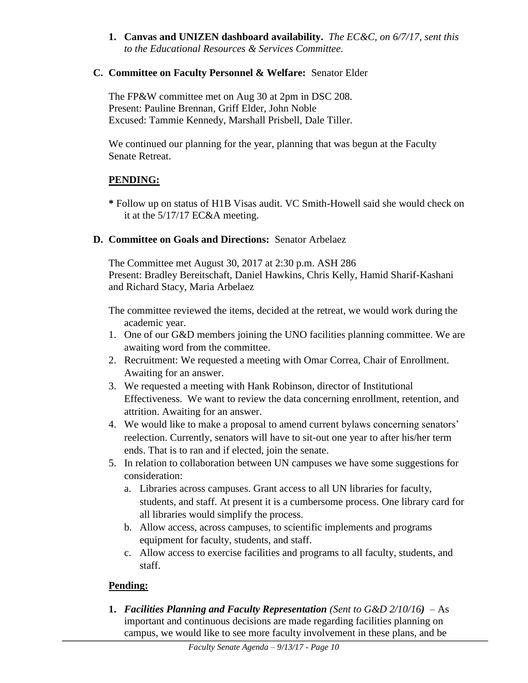**1. Canvas and UNIZEN dashboard availability.** *The EC&C, on 6/7/17, sent this to the Educational Resources & Services Committee.*

# **C. Committee on Faculty Personnel & Welfare:** Senator Elder

The FP&W committee met on Aug 30 at 2pm in DSC 208. Present: Pauline Brennan, Griff Elder, John Noble Excused: Tammie Kennedy, Marshall Prisbell, Dale Tiller.

We continued our planning for the year, planning that was begun at the Faculty Senate Retreat.

# **PENDING:**

**\*** Follow up on status of H1B Visas audit. VC Smith-Howell said she would check on it at the 5/17/17 EC&A meeting.

# **D. Committee on Goals and Directions:** Senator Arbelaez

The Committee met August 30, 2017 at 2:30 p.m. ASH 286 Present: Bradley Bereitschaft, Daniel Hawkins, Chris Kelly, Hamid Sharif-Kashani and Richard Stacy, Maria Arbelaez

The committee reviewed the items, decided at the retreat, we would work during the academic year.

- 1. One of our G&D members joining the UNO facilities planning committee. We are awaiting word from the committee.
- 2. Recruitment: We requested a meeting with Omar Correa, Chair of Enrollment. Awaiting for an answer.
- 3. We requested a meeting with Hank Robinson, director of Institutional Effectiveness. We want to review the data concerning enrollment, retention, and attrition. Awaiting for an answer.
- 4. We would like to make a proposal to amend current bylaws concerning senators' reelection. Currently, senators will have to sit-out one year to after his/her term ends. That is to ran and if elected, join the senate.
- 5. In relation to collaboration between UN campuses we have some suggestions for consideration:
	- a. Libraries across campuses. Grant access to all UN libraries for faculty, students, and staff. At present it is a cumbersome process. One library card for all libraries would simplify the process.
	- b. Allow access, across campuses, to scientific implements and programs equipment for faculty, students, and staff.
	- c. Allow access to exercise facilities and programs to all faculty, students, and staff.

# **Pending:**

**1.** *Facilities Planning and Faculty Representation (Sent to G&D 2/10/16)*– As important and continuous decisions are made regarding facilities planning on campus, we would like to see more faculty involvement in these plans, and be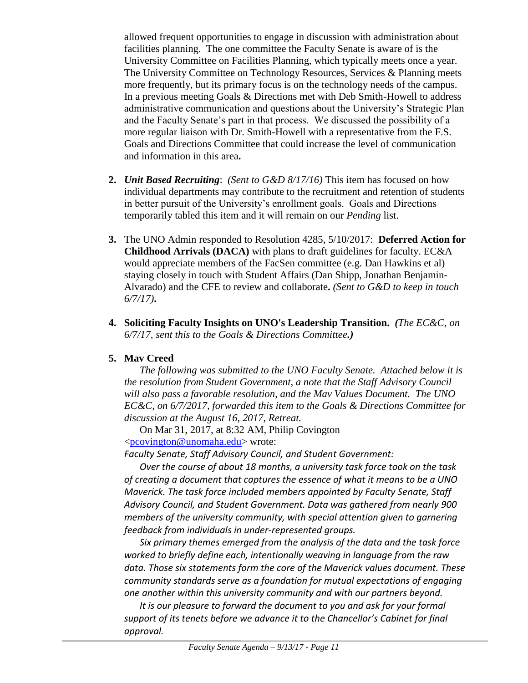allowed frequent opportunities to engage in discussion with administration about facilities planning. The one committee the Faculty Senate is aware of is the University Committee on Facilities Planning, which typically meets once a year. The University Committee on Technology Resources, Services & Planning meets more frequently, but its primary focus is on the technology needs of the campus. In a previous meeting Goals & Directions met with Deb Smith-Howell to address administrative communication and questions about the University's Strategic Plan and the Faculty Senate's part in that process. We discussed the possibility of a more regular liaison with Dr. Smith-Howell with a representative from the F.S. Goals and Directions Committee that could increase the level of communication and information in this area**.**

- **2.** *Unit Based Recruiting*: *(Sent to G&D 8/17/16)* This item has focused on how individual departments may contribute to the recruitment and retention of students in better pursuit of the University's enrollment goals. Goals and Directions temporarily tabled this item and it will remain on our *Pending* list.
- **3.** The UNO Admin responded to Resolution 4285, 5/10/2017: **Deferred Action for Childhood Arrivals (DACA)** with plans to draft guidelines for faculty. EC&A would appreciate members of the FacSen committee (e.g. Dan Hawkins et al) staying closely in touch with Student Affairs (Dan Shipp, Jonathan Benjamin-Alvarado) and the CFE to review and collaborate**.** *(Sent to G&D to keep in touch 6/7/17)***.**
- **4. Soliciting Faculty Insights on UNO's Leadership Transition.** *(The EC&C, on 6/7/17, sent this to the Goals & Directions Committee.)*

# **5. Mav Creed**

*The following was submitted to the UNO Faculty Senate. Attached below it is the resolution from Student Government, a note that the Staff Advisory Council will also pass a favorable resolution, and the Mav Values Document. The UNO EC&C, on 6/7/2017, forwarded this item to the Goals & Directions Committee for discussion at the August 16, 2017, Retreat.*

On Mar 31, 2017, at 8:32 AM, Philip Covington [<pcovington@unomaha.edu>](mailto:pcovington@unomaha.edu) wrote:

*Faculty Senate, Staff Advisory Council, and Student Government:*

*Over the course of about 18 months, a university task force took on the task of creating a document that captures the essence of what it means to be a UNO Maverick. The task force included members appointed by Faculty Senate, Staff Advisory Council, and Student Government. Data was gathered from nearly 900 members of the university community, with special attention given to garnering feedback from individuals in under-represented groups.*

*Six primary themes emerged from the analysis of the data and the task force worked to briefly define each, intentionally weaving in language from the raw data. Those six statements form the core of the Maverick values document. These community standards serve as a foundation for mutual expectations of engaging one another within this university community and with our partners beyond.*

*It is our pleasure to forward the document to you and ask for your formal support of its tenets before we advance it to the Chancellor's Cabinet for final approval.*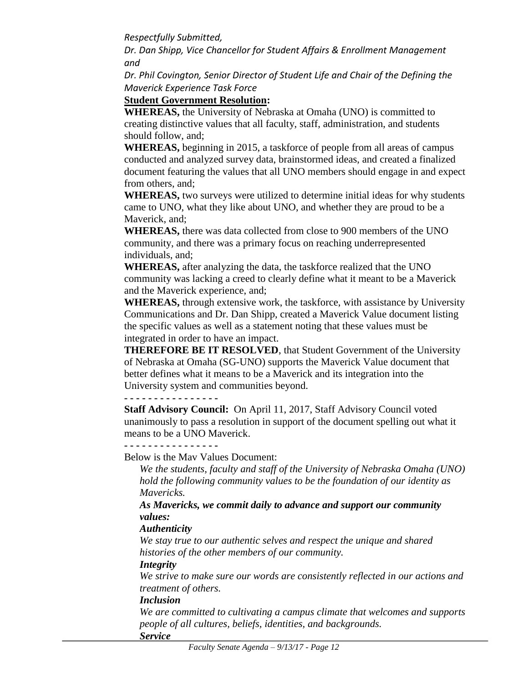*Respectfully Submitted,*

*Dr. Dan Shipp, Vice Chancellor for Student Affairs & Enrollment Management and*

*Dr. Phil Covington, Senior Director of Student Life and Chair of the Defining the Maverick Experience Task Force*

# **Student Government Resolution:**

**WHEREAS,** the University of Nebraska at Omaha (UNO) is committed to creating distinctive values that all faculty, staff, administration, and students should follow, and;

**WHEREAS,** beginning in 2015, a taskforce of people from all areas of campus conducted and analyzed survey data, brainstormed ideas, and created a finalized document featuring the values that all UNO members should engage in and expect from others, and;

**WHEREAS,** two surveys were utilized to determine initial ideas for why students came to UNO, what they like about UNO, and whether they are proud to be a Maverick, and;

**WHEREAS,** there was data collected from close to 900 members of the UNO community, and there was a primary focus on reaching underrepresented individuals, and;

**WHEREAS,** after analyzing the data, the taskforce realized that the UNO community was lacking a creed to clearly define what it meant to be a Maverick and the Maverick experience, and;

**WHEREAS,** through extensive work, the taskforce, with assistance by University Communications and Dr. Dan Shipp, created a Maverick Value document listing the specific values as well as a statement noting that these values must be integrated in order to have an impact.

**THEREFORE BE IT RESOLVED**, that Student Government of the University of Nebraska at Omaha (SG-UNO) supports the Maverick Value document that better defines what it means to be a Maverick and its integration into the University system and communities beyond.

**- - - - - - - - - - - - - - - -**

**Staff Advisory Council:** On April 11, 2017, Staff Advisory Council voted unanimously to pass a resolution in support of the document spelling out what it means to be a UNO Maverick.

**- - - - - - - - - - - - - - - -**

Below is the Mav Values Document:

*We the students, faculty and staff of the University of Nebraska Omaha (UNO) hold the following community values to be the foundation of our identity as Mavericks.*

*As Mavericks, we commit daily to advance and support our community values:*

# *Authenticity*

*We stay true to our authentic selves and respect the unique and shared histories of the other members of our community.*

# *Integrity*

*We strive to make sure our words are consistently reflected in our actions and treatment of others.*

# *Inclusion*

*We are committed to cultivating a campus climate that welcomes and supports people of all cultures, beliefs, identities, and backgrounds.*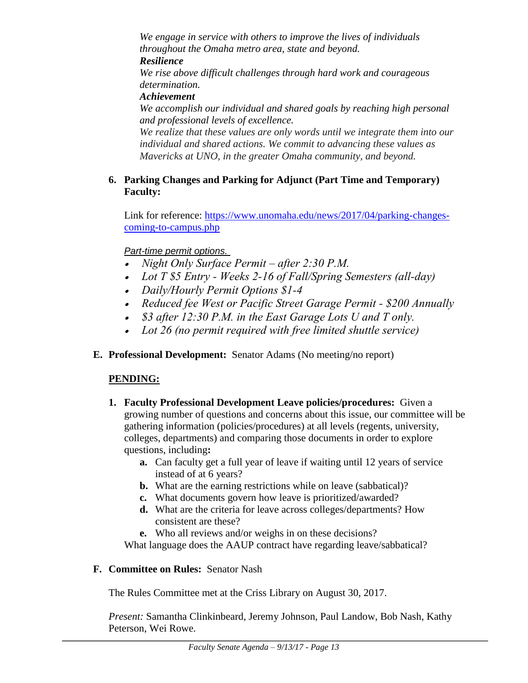*We engage in service with others to improve the lives of individuals throughout the Omaha metro area, state and beyond.* 

### *Resilience*

*We rise above difficult challenges through hard work and courageous determination.* 

*Achievement*

*We accomplish our individual and shared goals by reaching high personal and professional levels of excellence.*

*We realize that these values are only words until we integrate them into our individual and shared actions. We commit to advancing these values as Mavericks at UNO, in the greater Omaha community, and beyond.*

# **6. Parking Changes and Parking for Adjunct (Part Time and Temporary) Faculty:**

Link for reference: [https://www.unomaha.edu/news/2017/04/parking-changes](https://www.unomaha.edu/news/2017/04/parking-changes-coming-to-campus.php)[coming-to-campus.php](https://www.unomaha.edu/news/2017/04/parking-changes-coming-to-campus.php)

# *Part-time permit options.*

- *Night Only Surface Permit – after 2:30 P.M.*
- *Lot T \$5 Entry - Weeks 2-16 of Fall/Spring Semesters (all-day)*
- *Daily/Hourly Permit Options \$1-4*
- *Reduced fee West or Pacific Street Garage Permit - \$200 Annually*
- *\$3 after 12:30 P.M. in the East Garage Lots U and T only.*
- *Lot 26 (no permit required with free limited shuttle service)*
- **E. Professional Development:** Senator Adams (No meeting/no report)

# **PENDING:**

- **1. Faculty Professional Development Leave policies/procedures:** Given a growing number of questions and concerns about this issue, our committee will be gathering information (policies/procedures) at all levels (regents, university, colleges, departments) and comparing those documents in order to explore questions, including**:** 
	- **a.** Can faculty get a full year of leave if waiting until 12 years of service instead of at 6 years?
	- **b.** What are the earning restrictions while on leave (sabbatical)?
	- **c.** What documents govern how leave is prioritized/awarded?
	- **d.** What are the criteria for leave across colleges/departments? How consistent are these?
	- **e.** Who all reviews and/or weighs in on these decisions?

What language does the AAUP contract have regarding leave/sabbatical?

# **F. Committee on Rules:** Senator Nash

The Rules Committee met at the Criss Library on August 30, 2017.

*Present:* Samantha Clinkinbeard, Jeremy Johnson, Paul Landow, Bob Nash, Kathy Peterson, Wei Rowe.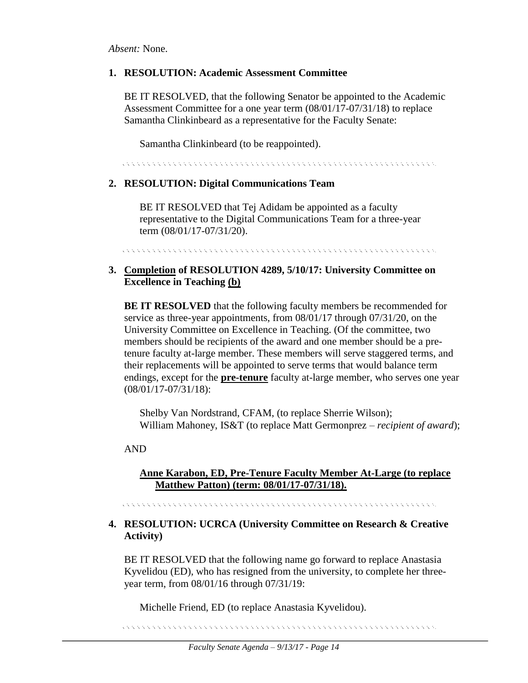*Absent:* None.

### **1. RESOLUTION: Academic Assessment Committee**

BE IT RESOLVED, that the following Senator be appointed to the Academic Assessment Committee for a one year term (08/01/17-07/31/18) to replace Samantha Clinkinbeard as a representative for the Faculty Senate:

Samantha Clinkinbeard (to be reappointed).

### **2. RESOLUTION: Digital Communications Team**

BE IT RESOLVED that Tej Adidam be appointed as a faculty representative to the Digital Communications Team for a three-year term (08/01/17-07/31/20).

### **3. Completion of RESOLUTION 4289, 5/10/17: University Committee on Excellence in Teaching (b)**

**BE IT RESOLVED** that the following faculty members be recommended for service as three-year appointments, from 08/01/17 through 07/31/20, on the University Committee on Excellence in Teaching. (Of the committee, two members should be recipients of the award and one member should be a pretenure faculty at-large member. These members will serve staggered terms, and their replacements will be appointed to serve terms that would balance term endings, except for the **pre-tenure** faculty at-large member, who serves one year (08/01/17-07/31/18):

Shelby Van Nordstrand, CFAM, (to replace Sherrie Wilson); William Mahoney, IS&T (to replace Matt Germonprez – *recipient of award*);

AND

### **Anne Karabon, ED, Pre-Tenure Faculty Member At-Large (to replace Matthew Patton) (term: 08/01/17-07/31/18).**

### **4. RESOLUTION: UCRCA (University Committee on Research & Creative Activity)**

BE IT RESOLVED that the following name go forward to replace Anastasia Kyvelidou (ED), who has resigned from the university, to complete her threeyear term, from 08/01/16 through 07/31/19:

Michelle Friend, ED (to replace Anastasia Kyvelidou).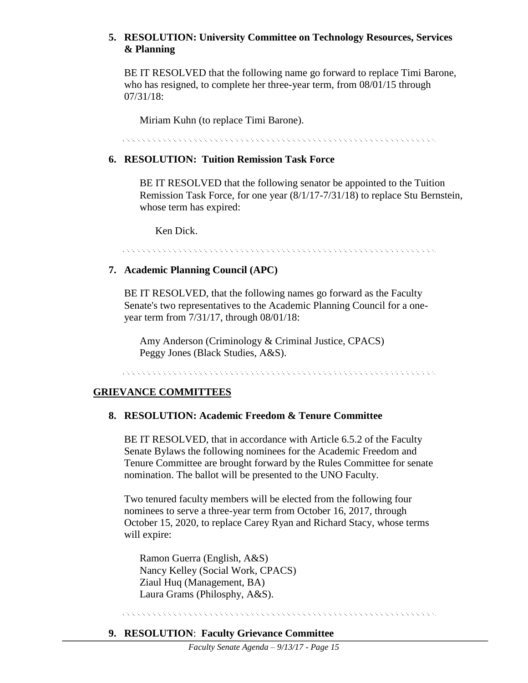### **5. RESOLUTION: University Committee on Technology Resources, Services & Planning**

BE IT RESOLVED that the following name go forward to replace Timi Barone, who has resigned, to complete her three-year term, from 08/01/15 through 07/31/18:

Miriam Kuhn (to replace Timi Barone).

<u> A CARACTER CARACTER CARACTER CARACTER CARACTER CARACTER CARACTER CARACTER</u>

#### **6. RESOLUTION: Tuition Remission Task Force**

BE IT RESOLVED that the following senator be appointed to the Tuition Remission Task Force, for one year (8/1/17-7/31/18) to replace Stu Bernstein, whose term has expired:

Ken Dick.

#### <u> El estado de la calendaria de la calendaria de la calendaria de la calendaria de la calendaria de la calenda</u>

#### **7. Academic Planning Council (APC)**

BE IT RESOLVED, that the following names go forward as the Faculty Senate's two representatives to the Academic Planning Council for a oneyear term from 7/31/17, through 08/01/18:

Amy Anderson (Criminology & Criminal Justice, CPACS) Peggy Jones (Black Studies, A&S).

<u> A CARACTER CARACTER CARACTER CARACTER CARACTER CARACTER CARACTER CARACTER CARACTER CARACTER CARACTER CARACTER C</u>

#### **GRIEVANCE COMMITTEES**

#### **8. RESOLUTION: Academic Freedom & Tenure Committee**

BE IT RESOLVED, that in accordance with Article 6.5.2 of the Faculty Senate Bylaws the following nominees for the Academic Freedom and Tenure Committee are brought forward by the Rules Committee for senate nomination. The ballot will be presented to the UNO Faculty.

Two tenured faculty members will be elected from the following four nominees to serve a three-year term from October 16, 2017, through October 15, 2020, to replace Carey Ryan and Richard Stacy, whose terms will expire:

Ramon Guerra (English, A&S) Nancy Kelley (Social Work, CPACS) Ziaul Huq (Management, BA) Laura Grams (Philosphy, A&S).

<u> A CARACTER CARACTER CARACTER CARACTER CARACTER CARACTER CARACTER CARACTER CARACTER CARACTER CARACTER CARACTER C</u>

#### **9. RESOLUTION**: **Faculty Grievance Committee**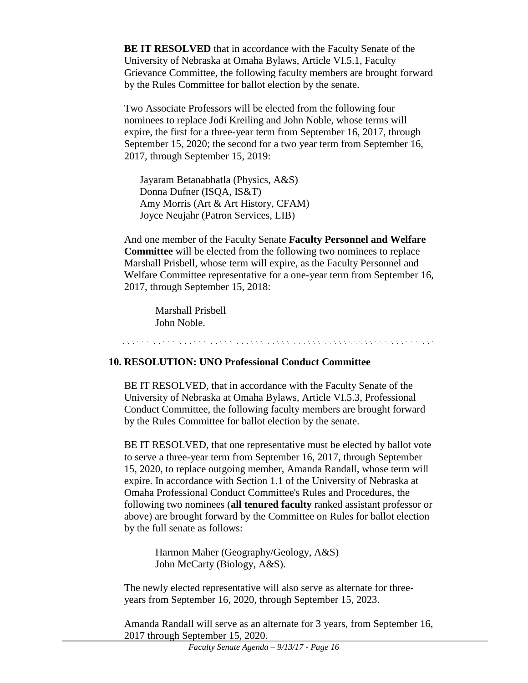**BE IT RESOLVED** that in accordance with the Faculty Senate of the University of Nebraska at Omaha Bylaws, Article VI.5.1, Faculty Grievance Committee, the following faculty members are brought forward by the Rules Committee for ballot election by the senate.

Two Associate Professors will be elected from the following four nominees to replace Jodi Kreiling and John Noble, whose terms will expire, the first for a three-year term from September 16, 2017, through September 15, 2020; the second for a two year term from September 16, 2017, through September 15, 2019:

Jayaram Betanabhatla (Physics, A&S) Donna Dufner (ISQA, IS&T) Amy Morris (Art & Art History, CFAM) Joyce Neujahr (Patron Services, LIB)

And one member of the Faculty Senate **Faculty Personnel and Welfare Committee** will be elected from the following two nominees to replace Marshall Prisbell, whose term will expire, as the Faculty Personnel and Welfare Committee representative for a one-year term from September 16, 2017, through September 15, 2018:

Marshall Prisbell John Noble.

# **10. RESOLUTION: UNO Professional Conduct Committee**

BE IT RESOLVED, that in accordance with the Faculty Senate of the University of Nebraska at Omaha Bylaws, Article VI.5.3, Professional Conduct Committee, the following faculty members are brought forward by the Rules Committee for ballot election by the senate.

BE IT RESOLVED, that one representative must be elected by ballot vote to serve a three-year term from September 16, 2017, through September 15, 2020, to replace outgoing member, Amanda Randall, whose term will expire. In accordance with Section 1.1 of the University of Nebraska at Omaha Professional Conduct Committee's Rules and Procedures, the following two nominees (**all tenured faculty** ranked assistant professor or above) are brought forward by the Committee on Rules for ballot election by the full senate as follows:

> Harmon Maher (Geography/Geology, A&S) John McCarty (Biology, A&S).

The newly elected representative will also serve as alternate for threeyears from September 16, 2020, through September 15, 2023.

Amanda Randall will serve as an alternate for 3 years, from September 16, 2017 through September 15, 2020.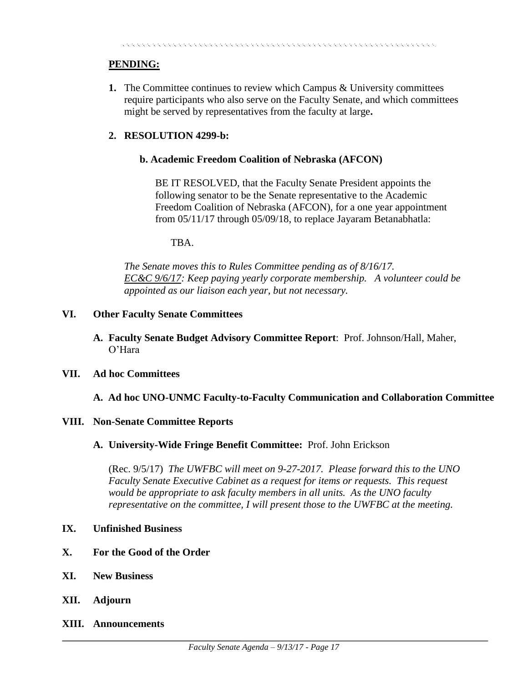### **PENDING:**

**1.** The Committee continues to review which Campus & University committees require participants who also serve on the Faculty Senate, and which committees might be served by representatives from the faculty at large**.** 

### **2. RESOLUTION 4299-b:**

### **b. Academic Freedom Coalition of Nebraska (AFCON)**

BE IT RESOLVED, that the Faculty Senate President appoints the following senator to be the Senate representative to the Academic Freedom Coalition of Nebraska (AFCON), for a one year appointment from 05/11/17 through 05/09/18, to replace Jayaram Betanabhatla:

#### TBA.

*The Senate moves this to Rules Committee pending as of 8/16/17. EC&C 9/6/17: Keep paying yearly corporate membership. A volunteer could be appointed as our liaison each year, but not necessary.* 

#### **VI. Other Faculty Senate Committees**

**A. Faculty Senate Budget Advisory Committee Report**: Prof. Johnson/Hall, Maher, O'Hara

#### **VII. Ad hoc Committees**

### **A. Ad hoc UNO-UNMC Faculty-to-Faculty Communication and Collaboration Committee**

### **VIII. Non-Senate Committee Reports**

### **A. University-Wide Fringe Benefit Committee:** Prof. John Erickson

(Rec. 9/5/17) *The UWFBC will meet on 9-27-2017. Please forward this to the UNO Faculty Senate Executive Cabinet as a request for items or requests. This request would be appropriate to ask faculty members in all units. As the UNO faculty representative on the committee, I will present those to the UWFBC at the meeting.* 

#### **IX. Unfinished Business**

- **X. For the Good of the Order**
- **XI. New Business**
- **XII. Adjourn**
- **XIII. Announcements**